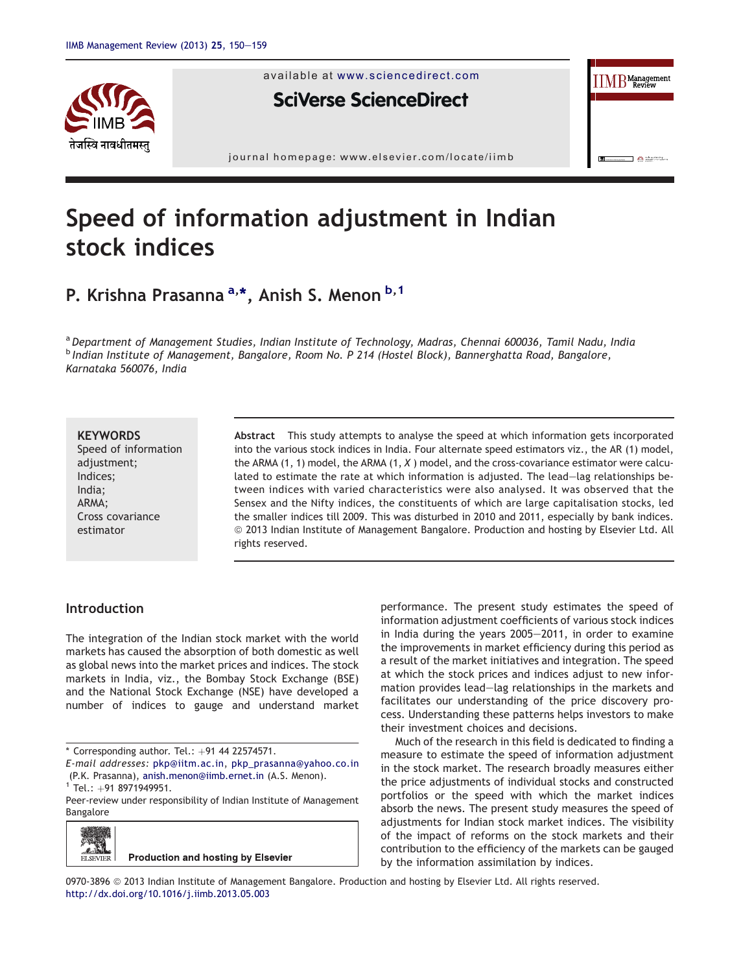

available at www.sciencedirect.com

**SciVerse ScienceDirect** 

journal homepage: www.elsevier.com/locate/iimb

# Speed of information adjustment in Indian stock indices

## P. Krishna Prasanna <sup>a,</sup>\*, Anish S. Menon <sup>b, 1</sup>

a *Department of Management Studies, Indian Institute of Technology, Madras, Chennai 600036, Tamil Nadu, India* b *Indian Institute of Management, Bangalore, Room No. P 214 (Hostel Block), Bannerghatta Road, Bangalore, Karnataka 560076, India*

## **KEYWORDS**

Speed of information adjustment; Indices; India; ARMA; Cross covariance estimator

Abstract This study attempts to analyse the speed at which information gets incorporated into the various stock indices in India. Four alternate speed estimators viz., the AR (1) model, the ARMA (1, 1) model, the ARMA (1, *X* ) model, and the cross-covariance estimator were calculated to estimate the rate at which information is adjusted. The lead-lag relationships between indices with varied characteristics were also analysed. It was observed that the Sensex and the Nifty indices, the constituents of which are large capitalisation stocks, led the smaller indices till 2009. This was disturbed in 2010 and 2011, especially by bank indices. ª 2013 Indian Institute of Management Bangalore. Production and hosting by Elsevier Ltd. All rights reserved.

## Introduction

The integration of the Indian stock market with the world markets has caused the absorption of both domestic as well as global news into the market prices and indices. The stock markets in India, viz., the Bombay Stock Exchange (BSE) and the National Stock Exchange (NSE) have developed a number of indices to gauge and understand market

Peer-review under responsibility of Indian Institute of Management Bangalore



performance. The present study estimates the speed of information adjustment coefficients of various stock indices in India during the years  $2005-2011$ , in order to examine the improvements in market efficiency during this period as a result of the market initiatives and integration. The speed at which the stock prices and indices adjust to new information provides lead-lag relationships in the markets and facilitates our understanding of the price discovery process. Understanding these patterns helps investors to make their investment choices and decisions.

 $\text{IIMB}^{\text{Management}}$ Review

 $\Box$   $\Delta$  around

Much of the research in this field is dedicated to finding a measure to estimate the speed of information adjustment in the stock market. The research broadly measures either the price adjustments of individual stocks and constructed portfolios or the speed with which the market indices absorb the news. The present study measures the speed of adjustments for Indian stock market indices. The visibility of the impact of reforms on the stock markets and their contribution to the efficiency of the markets can be gauged by the information assimilation by indices.

0970-3896 @ 2013 Indian Institute of Management Bangalore. Production and hosting by Elsevier Ltd. All rights reserved. http://dx.doi.org/10.1016/j.iimb.2013.05.003

 $*$  Corresponding author. Tel.:  $+91$  44 22574571.

*E-mail addresses:* pkp@iitm.ac.in, pkp\_prasanna@yahoo.co.in (P.K. Prasanna), anish.menon@iimb.ernet.in (A.S. Menon).

 $1$  Tel.: +91 8971949951.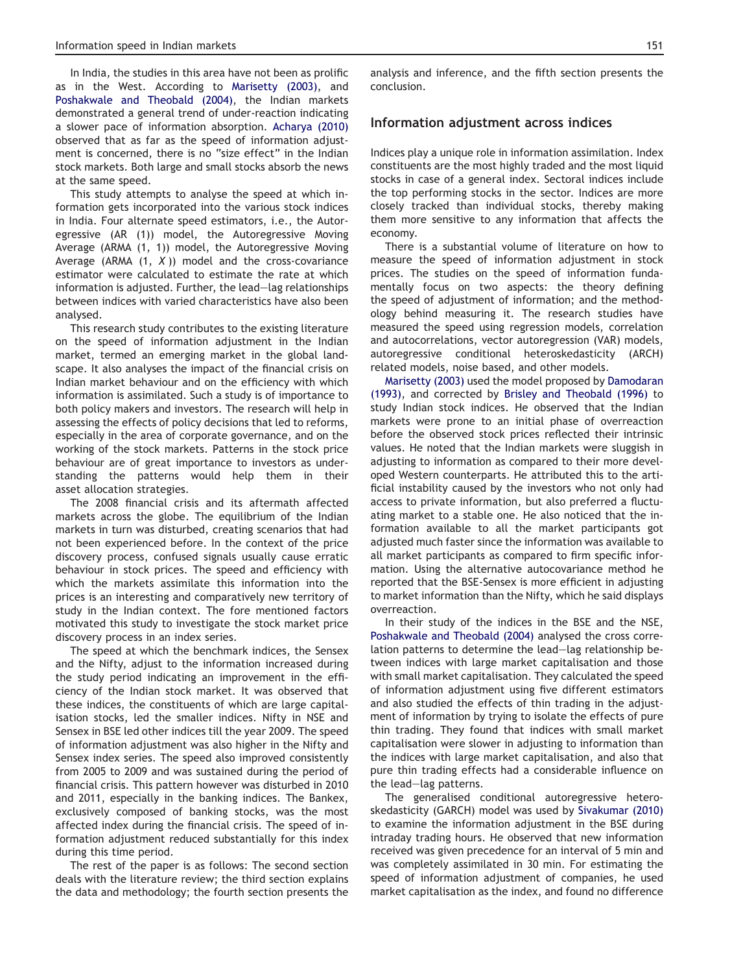In India, the studies in this area have not been as prolific as in the West. According to Marisetty (2003), and Poshakwale and Theobald (2004), the Indian markets demonstrated a general trend of under-reaction indicating a slower pace of information absorption. Acharya (2010) observed that as far as the speed of information adjustment is concerned, there is no "size effect" in the Indian stock markets. Both large and small stocks absorb the news at the same speed.

This study attempts to analyse the speed at which information gets incorporated into the various stock indices in India. Four alternate speed estimators, i.e., the Autoregressive (AR (1)) model, the Autoregressive Moving Average (ARMA (1, 1)) model, the Autoregressive Moving Average (ARMA (1, *X* )) model and the cross-covariance estimator were calculated to estimate the rate at which information is adjusted. Further, the lead-lag relationships between indices with varied characteristics have also been analysed.

This research study contributes to the existing literature on the speed of information adjustment in the Indian market, termed an emerging market in the global landscape. It also analyses the impact of the financial crisis on Indian market behaviour and on the efficiency with which information is assimilated. Such a study is of importance to both policy makers and investors. The research will help in assessing the effects of policy decisions that led to reforms, especially in the area of corporate governance, and on the working of the stock markets. Patterns in the stock price behaviour are of great importance to investors as understanding the patterns would help them in their asset allocation strategies.

The 2008 financial crisis and its aftermath affected markets across the globe. The equilibrium of the Indian markets in turn was disturbed, creating scenarios that had not been experienced before. In the context of the price discovery process, confused signals usually cause erratic behaviour in stock prices. The speed and efficiency with which the markets assimilate this information into the prices is an interesting and comparatively new territory of study in the Indian context. The fore mentioned factors motivated this study to investigate the stock market price discovery process in an index series.

The speed at which the benchmark indices, the Sensex and the Nifty, adjust to the information increased during the study period indicating an improvement in the efficiency of the Indian stock market. It was observed that these indices, the constituents of which are large capitalisation stocks, led the smaller indices. Nifty in NSE and Sensex in BSE led other indices till the year 2009. The speed of information adjustment was also higher in the Nifty and Sensex index series. The speed also improved consistently from 2005 to 2009 and was sustained during the period of financial crisis. This pattern however was disturbed in 2010 and 2011, especially in the banking indices. The Bankex, exclusively composed of banking stocks, was the most affected index during the financial crisis. The speed of information adjustment reduced substantially for this index during this time period.

The rest of the paper is as follows: The second section deals with the literature review; the third section explains the data and methodology; the fourth section presents the analysis and inference, and the fifth section presents the conclusion.

## Information adjustment across indices

Indices play a unique role in information assimilation. Index constituents are the most highly traded and the most liquid stocks in case of a general index. Sectoral indices include the top performing stocks in the sector. Indices are more closely tracked than individual stocks, thereby making them more sensitive to any information that affects the economy.

There is a substantial volume of literature on how to measure the speed of information adjustment in stock prices. The studies on the speed of information fundamentally focus on two aspects: the theory defining the speed of adjustment of information; and the methodology behind measuring it. The research studies have measured the speed using regression models, correlation and autocorrelations, vector autoregression (VAR) models, autoregressive conditional heteroskedasticity (ARCH) related models, noise based, and other models.

Marisetty (2003) used the model proposed by Damodaran (1993), and corrected by Brisley and Theobald (1996) to study Indian stock indices. He observed that the Indian markets were prone to an initial phase of overreaction before the observed stock prices reflected their intrinsic values. He noted that the Indian markets were sluggish in adjusting to information as compared to their more developed Western counterparts. He attributed this to the artificial instability caused by the investors who not only had access to private information, but also preferred a fluctuating market to a stable one. He also noticed that the information available to all the market participants got adjusted much faster since the information was available to all market participants as compared to firm specific information. Using the alternative autocovariance method he reported that the BSE-Sensex is more efficient in adjusting to market information than the Nifty, which he said displays overreaction.

In their study of the indices in the BSE and the NSE, Poshakwale and Theobald (2004) analysed the cross correlation patterns to determine the lead-lag relationship between indices with large market capitalisation and those with small market capitalisation. They calculated the speed of information adjustment using five different estimators and also studied the effects of thin trading in the adjustment of information by trying to isolate the effects of pure thin trading. They found that indices with small market capitalisation were slower in adjusting to information than the indices with large market capitalisation, and also that pure thin trading effects had a considerable influence on the lead-lag patterns.

The generalised conditional autoregressive heteroskedasticity (GARCH) model was used by Sivakumar (2010) to examine the information adjustment in the BSE during intraday trading hours. He observed that new information received was given precedence for an interval of 5 min and was completely assimilated in 30 min. For estimating the speed of information adjustment of companies, he used market capitalisation as the index, and found no difference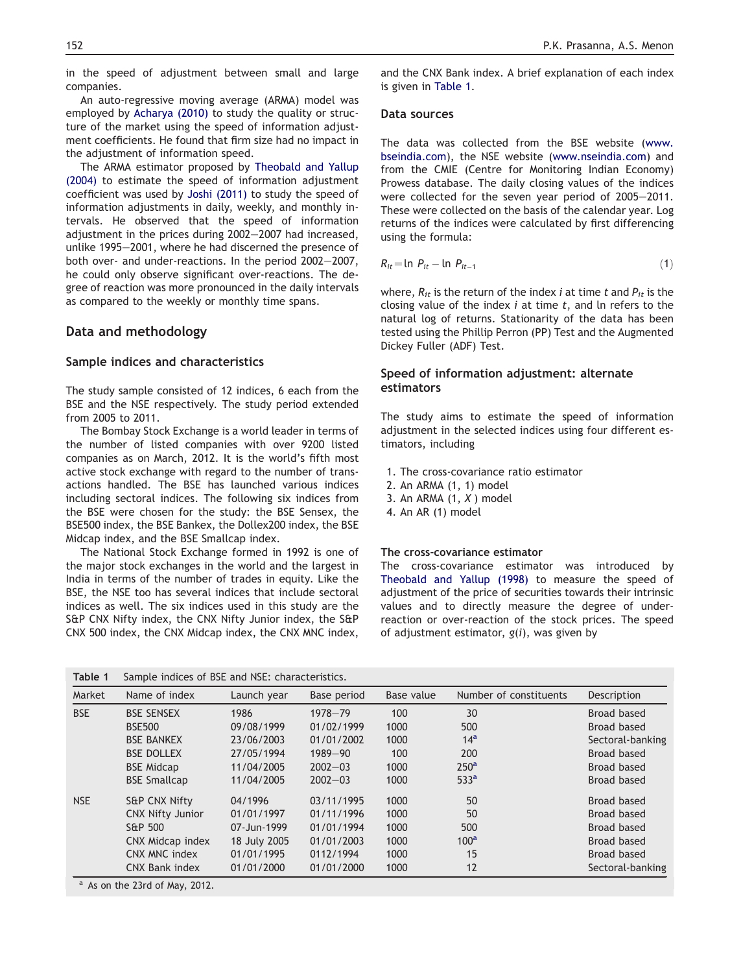in the speed of adjustment between small and large companies.

An auto-regressive moving average (ARMA) model was employed by Acharya (2010) to study the quality or structure of the market using the speed of information adjustment coefficients. He found that firm size had no impact in the adjustment of information speed.

The ARMA estimator proposed by Theobald and Yallup (2004) to estimate the speed of information adjustment coefficient was used by Joshi (2011) to study the speed of information adjustments in daily, weekly, and monthly intervals. He observed that the speed of information adjustment in the prices during 2002-2007 had increased, unlike 1995-2001, where he had discerned the presence of both over- and under-reactions. In the period 2002-2007, he could only observe significant over-reactions. The degree of reaction was more pronounced in the daily intervals as compared to the weekly or monthly time spans.

## Data and methodology

#### Sample indices and characteristics

The study sample consisted of 12 indices, 6 each from the BSE and the NSE respectively. The study period extended from 2005 to 2011.

The Bombay Stock Exchange is a world leader in terms of the number of listed companies with over 9200 listed companies as on March, 2012. It is the world's fifth most active stock exchange with regard to the number of transactions handled. The BSE has launched various indices including sectoral indices. The following six indices from the BSE were chosen for the study: the BSE Sensex, the BSE500 index, the BSE Bankex, the Dollex200 index, the BSE Midcap index, and the BSE Smallcap index.

The National Stock Exchange formed in 1992 is one of the major stock exchanges in the world and the largest in India in terms of the number of trades in equity. Like the BSE, the NSE too has several indices that include sectoral indices as well. The six indices used in this study are the S&P CNX Nifty index, the CNX Nifty Junior index, the S&P CNX 500 index, the CNX Midcap index, the CNX MNC index,

and the CNX Bank index. A brief explanation of each index is given in Table 1.

#### Data sources

The data was collected from the BSE website (www. bseindia.com), the NSE website (www.nseindia.com) and from the CMIE (Centre for Monitoring Indian Economy) Prowess database. The daily closing values of the indices were collected for the seven year period of  $2005-2011$ . These were collected on the basis of the calendar year. Log returns of the indices were calculated by first differencing using the formula:

$$
R_{it} = \ln P_{it} - \ln P_{it-1} \tag{1}
$$

where,  $R_{it}$  is the return of the index *i* at time *t* and  $P_{it}$  is the closing value of the index *i* at time *t*, and ln refers to the natural log of returns. Stationarity of the data has been tested using the Phillip Perron (PP) Test and the Augmented Dickey Fuller (ADF) Test.

## Speed of information adjustment: alternate estimators

The study aims to estimate the speed of information adjustment in the selected indices using four different estimators, including

- 1. The cross-covariance ratio estimator
- 2. An ARMA (1, 1) model
- 3. An ARMA (1, *X* ) model
- 4. An AR (1) model

#### The cross-covariance estimator

The cross-covariance estimator was introduced by Theobald and Yallup (1998) to measure the speed of adjustment of the price of securities towards their intrinsic values and to directly measure the degree of underreaction or over-reaction of the stock prices. The speed of adjustment estimator, *g*(*i*), was given by

| Table 1    | Sample indices of BSE and NSE: characteristics. |              |             |            |                        |                  |
|------------|-------------------------------------------------|--------------|-------------|------------|------------------------|------------------|
| Market     | Name of index                                   | Launch year  | Base period | Base value | Number of constituents | Description      |
| <b>BSE</b> | <b>BSE SENSEX</b>                               | 1986         | $1978 - 79$ | 100        | 30                     | Broad based      |
|            | <b>BSE500</b>                                   | 09/08/1999   | 01/02/1999  | 1000       | 500                    | Broad based      |
|            | <b>BSE BANKEX</b>                               | 23/06/2003   | 01/01/2002  | 1000       | 14 <sup>a</sup>        | Sectoral-banking |
|            | <b>BSE DOLLEX</b>                               | 27/05/1994   | $1989 - 90$ | 100        | 200                    | Broad based      |
|            | <b>BSE Midcap</b>                               | 11/04/2005   | $2002 - 03$ | 1000       | 250 <sup>a</sup>       | Broad based      |
|            | <b>BSE Smallcap</b>                             | 11/04/2005   | $2002 - 03$ | 1000       | 533 <sup>a</sup>       | Broad based      |
| <b>NSE</b> | S&P CNX Nifty                                   | 04/1996      | 03/11/1995  | 1000       | 50                     | Broad based      |
|            | <b>CNX Nifty Junior</b>                         | 01/01/1997   | 01/11/1996  | 1000       | 50                     | Broad based      |
|            | S&P 500                                         | 07-Jun-1999  | 01/01/1994  | 1000       | 500                    | Broad based      |
|            | CNX Midcap index                                | 18 July 2005 | 01/01/2003  | 1000       | 100 <sup>a</sup>       | Broad based      |
|            | CNX MNC index                                   | 01/01/1995   | 0112/1994   | 1000       | 15                     | Broad based      |
|            | CNX Bank index                                  | 01/01/2000   | 01/01/2000  | 1000       | 12                     | Sectoral-banking |

<sup>a</sup> As on the 23rd of May, 2012.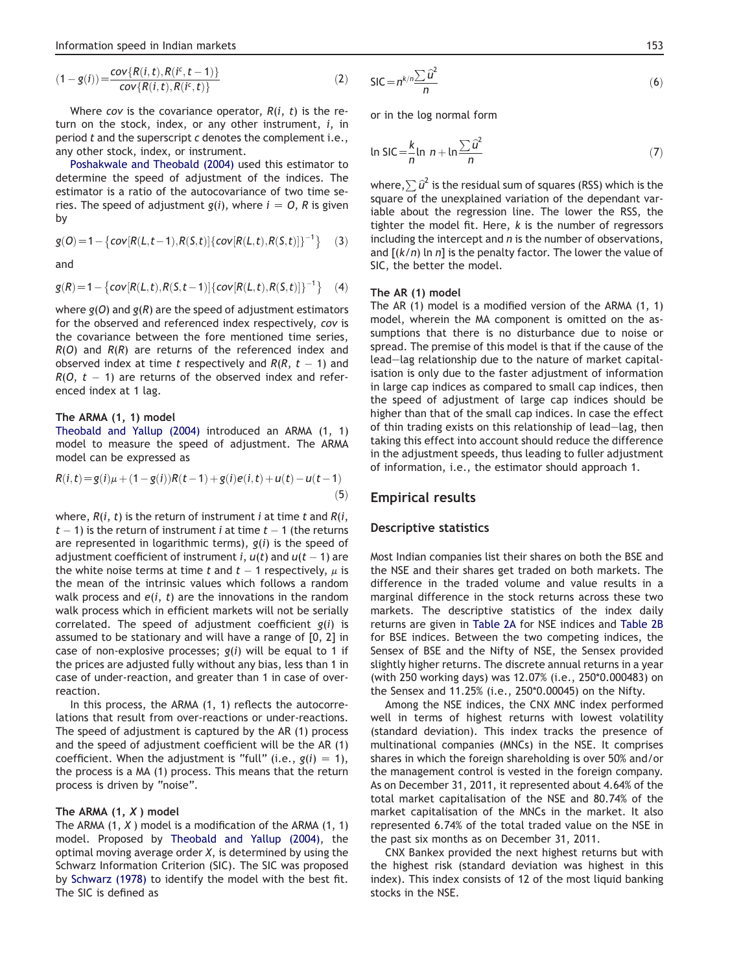Information speed in Indian markets 153

$$
(1 - g(i)) = \frac{\text{cov}\{R(i, t), R(i^c, t - 1)\}}{\text{cov}\{R(i, t), R(i^c, t)\}}
$$
(2)

Where *cov* is the covariance operator, *R*(*i*, *t*) is the return on the stock, index, or any other instrument, *i*, in period *t* and the superscript *c* denotes the complement i.e., any other stock, index, or instrument.

Poshakwale and Theobald (2004) used this estimator to determine the speed of adjustment of the indices. The estimator is a ratio of the autocovariance of two time series. The speed of adjustment  $q(i)$ , where  $i = 0$ , R is given by

 $g(\mathcal{O}) = 1 - \{cov[R(L, t-1), R(S, t)]\}$ cov $[R(L, t), R(S, t)]\}^{-1}$  (3)

and

$$
g(R) = 1 - \{cov[R(L, t), R(S, t-1)]\{cov[R(L, t), R(S, t)]\}^{-1}\} \quad (4)
$$

where *g*(*O*) and *g*(*R*) are the speed of adjustment estimators for the observed and referenced index respectively, *cov* is the covariance between the fore mentioned time series, *R*(*O*) and *R*(*R*) are returns of the referenced index and observed index at time  $t$  respectively and  $R(R, t - 1)$  and  $R(O, t - 1)$  are returns of the observed index and referenced index at 1 lag.

#### The ARMA (1, 1) model

Theobald and Yallup (2004) introduced an ARMA (1, 1) model to measure the speed of adjustment. The ARMA model can be expressed as

$$
R(i,t) = g(i)\mu + (1 - g(i))R(t-1) + g(i)e(i,t) + u(t) - u(t-1)
$$
\n(5)

where, *R*(*i*, *t*) is the return of instrument *i* at time *t* and *R*(*i*,  $t-1$ ) is the return of instrument  $i$  at time  $t-1$  (the returns are represented in logarithmic terms), *g*(*i*) is the speed of adjustment coefficient of instrument *i*,  $u(t)$  and  $u(t-1)$  are the white noise terms at time  $t$  and  $t-1$  respectively,  $\mu$  is the mean of the intrinsic values which follows a random walk process and *e*(*i*, *t*) are the innovations in the random walk process which in efficient markets will not be serially correlated. The speed of adjustment coefficient *g*(*i*) is assumed to be stationary and will have a range of [0, 2] in case of non-explosive processes; *g*(*i*) will be equal to 1 if the prices are adjusted fully without any bias, less than 1 in case of under-reaction, and greater than 1 in case of overreaction.

In this process, the ARMA (1, 1) reflects the autocorrelations that result from over-reactions or under-reactions. The speed of adjustment is captured by the AR (1) process and the speed of adjustment coefficient will be the AR (1) coefficient. When the adjustment is "full" (i.e.,  $g(i) = 1$ ), the process is a MA (1) process. This means that the return process is driven by "noise".

#### The ARMA  $(1, X)$  model

The ARMA (1, *X* ) model is a modification of the ARMA (1, 1) model. Proposed by Theobald and Yallup (2004), the optimal moving average order *X*, is determined by using the Schwarz Information Criterion (SIC). The SIC was proposed by Schwarz (1978) to identify the model with the best fit. The SIC is defined as

$$
SIC = n^{k/n} \frac{\sum \widehat{u}^2}{n}
$$
 (6)

or in the log normal form

$$
\ln \text{SIC} = \frac{k}{n} \ln n + \ln \frac{\sum \hat{u}^2}{n} \tag{7}
$$

where, $\sum \widehat{u}^2$  is the residual sum of squares (RSS) which is the square of the unexplained variation of the dependant variable about the regression line. The lower the RSS, the tighter the model fit. Here, *k* is the number of regressors including the intercept and *n* is the number of observations, and [(*k*/*n*) ln *n*] is the penalty factor. The lower the value of SIC, the better the model.

#### The AR (1) model

The AR (1) model is a modified version of the ARMA (1, 1) model, wherein the MA component is omitted on the assumptions that there is no disturbance due to noise or spread. The premise of this model is that if the cause of the lead-lag relationship due to the nature of market capitalisation is only due to the faster adjustment of information in large cap indices as compared to small cap indices, then the speed of adjustment of large cap indices should be higher than that of the small cap indices. In case the effect of thin trading exists on this relationship of lead-lag, then taking this effect into account should reduce the difference in the adjustment speeds, thus leading to fuller adjustment of information, i.e., the estimator should approach 1.

### Empirical results

#### Descriptive statistics

Most Indian companies list their shares on both the BSE and the NSE and their shares get traded on both markets. The difference in the traded volume and value results in a marginal difference in the stock returns across these two markets. The descriptive statistics of the index daily returns are given in Table 2A for NSE indices and Table 2B for BSE indices. Between the two competing indices, the Sensex of BSE and the Nifty of NSE, the Sensex provided slightly higher returns. The discrete annual returns in a year (with 250 working days) was 12.07% (i.e., 250\*0.000483) on the Sensex and 11.25% (i.e., 250\*0.00045) on the Nifty.

Among the NSE indices, the CNX MNC index performed well in terms of highest returns with lowest volatility (standard deviation). This index tracks the presence of multinational companies (MNCs) in the NSE. It comprises shares in which the foreign shareholding is over 50% and/or the management control is vested in the foreign company. As on December 31, 2011, it represented about 4.64% of the total market capitalisation of the NSE and 80.74% of the market capitalisation of the MNCs in the market. It also represented 6.74% of the total traded value on the NSE in the past six months as on December 31, 2011.

CNX Bankex provided the next highest returns but with the highest risk (standard deviation was highest in this index). This index consists of 12 of the most liquid banking stocks in the NSE.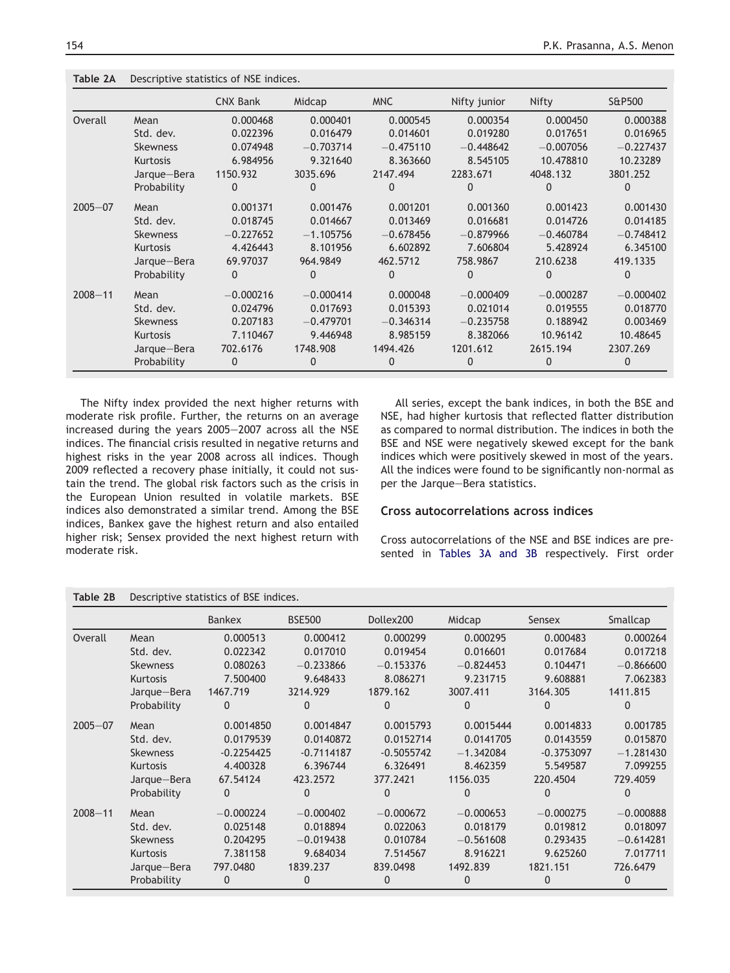| Table 2A | Descriptive statistics of NSE indices. |
|----------|----------------------------------------|
|----------|----------------------------------------|

|             |                 | <b>CNX Bank</b> | Midcap       | <b>MNC</b>  | Nifty junior | Nifty       | S&P500       |
|-------------|-----------------|-----------------|--------------|-------------|--------------|-------------|--------------|
| Overall     | Mean            | 0.000468        | 0.000401     | 0.000545    | 0.000354     | 0.000450    | 0.000388     |
|             | Std. dev.       | 0.022396        | 0.016479     | 0.014601    | 0.019280     | 0.017651    | 0.016965     |
|             | <b>Skewness</b> | 0.074948        | $-0.703714$  | $-0.475110$ | $-0.448642$  | $-0.007056$ | $-0.227437$  |
|             | <b>Kurtosis</b> | 6.984956        | 9.321640     | 8.363660    | 8.545105     | 10.478810   | 10.23289     |
|             | Jarque-Bera     | 1150.932        | 3035.696     | 2147.494    | 2283.671     | 4048.132    | 3801.252     |
|             | Probability     | $\mathbf 0$     | $\Omega$     | 0           | $\Omega$     | $\Omega$    | 0            |
| $2005 - 07$ | Mean            | 0.001371        | 0.001476     | 0.001201    | 0.001360     | 0.001423    | 0.001430     |
|             | Std. dev.       | 0.018745        | 0.014667     | 0.013469    | 0.016681     | 0.014726    | 0.014185     |
|             | <b>Skewness</b> | $-0.227652$     | $-1.105756$  | $-0.678456$ | $-0.879966$  | $-0.460784$ | $-0.748412$  |
|             | <b>Kurtosis</b> | 4.426443        | 8.101956     | 6.602892    | 7.606804     | 5.428924    | 6.345100     |
|             | Jarque-Bera     | 69.97037        | 964.9849     | 462.5712    | 758.9867     | 210.6238    | 419.1335     |
|             | Probability     | 0               | $\mathbf{0}$ | 0           | $\Omega$     | $\Omega$    | $\mathbf{0}$ |
| $2008 - 11$ | Mean            | $-0.000216$     | $-0.000414$  | 0.000048    | $-0.000409$  | $-0.000287$ | $-0.000402$  |
|             | Std. dev.       | 0.024796        | 0.017693     | 0.015393    | 0.021014     | 0.019555    | 0.018770     |
|             | <b>Skewness</b> | 0.207183        | $-0.479701$  | $-0.346314$ | $-0.235758$  | 0.188942    | 0.003469     |
|             | <b>Kurtosis</b> | 7.110467        | 9.446948     | 8.985159    | 8.382066     | 10.96142    | 10.48645     |
|             | Jarque-Bera     | 702.6176        | 1748.908     | 1494.426    | 1201.612     | 2615.194    | 2307.269     |
|             | Probability     | 0               | $\mathbf 0$  | 0           | $\mathbf{0}$ | 0           | 0            |

The Nifty index provided the next higher returns with moderate risk profile. Further, the returns on an average increased during the years 2005-2007 across all the NSE indices. The financial crisis resulted in negative returns and highest risks in the year 2008 across all indices. Though 2009 reflected a recovery phase initially, it could not sustain the trend. The global risk factors such as the crisis in the European Union resulted in volatile markets. BSE indices also demonstrated a similar trend. Among the BSE indices, Bankex gave the highest return and also entailed higher risk; Sensex provided the next highest return with moderate risk.

All series, except the bank indices, in both the BSE and NSE, had higher kurtosis that reflected flatter distribution as compared to normal distribution. The indices in both the BSE and NSE were negatively skewed except for the bank indices which were positively skewed in most of the years. All the indices were found to be significantly non-normal as per the Jarque-Bera statistics.

## Cross autocorrelations across indices

Cross autocorrelations of the NSE and BSE indices are presented in Tables 3A and 3B respectively. First order

| Table 2B    | Descriptive statistics of BSE indices. |               |               |              |             |              |              |  |  |  |
|-------------|----------------------------------------|---------------|---------------|--------------|-------------|--------------|--------------|--|--|--|
|             |                                        | <b>Bankex</b> | <b>BSE500</b> | Dollex200    | Midcap      | Sensex       | Smallcap     |  |  |  |
| Overall     | Mean                                   | 0.000513      | 0.000412      | 0.000299     | 0.000295    | 0.000483     | 0.000264     |  |  |  |
|             | Std. dev.                              | 0.022342      | 0.017010      | 0.019454     | 0.016601    | 0.017684     | 0.017218     |  |  |  |
|             | <b>Skewness</b>                        | 0.080263      | $-0.233866$   | $-0.153376$  | $-0.824453$ | 0.104471     | $-0.866600$  |  |  |  |
|             | <b>Kurtosis</b>                        | 7.500400      | 9.648433      | 8.086271     | 9.231715    | 9.608881     | 7.062383     |  |  |  |
|             | Jarque-Bera                            | 1467.719      | 3214.929      | 1879.162     | 3007.411    | 3164.305     | 1411.815     |  |  |  |
|             | Probability                            | $\mathbf{0}$  | 0             | $\mathbf{0}$ | 0           | $\Omega$     | $\mathbf{0}$ |  |  |  |
| $2005 - 07$ | Mean                                   | 0.0014850     | 0.0014847     | 0.0015793    | 0.0015444   | 0.0014833    | 0.001785     |  |  |  |
|             | Std. dev.                              | 0.0179539     | 0.0140872     | 0.0152714    | 0.0141705   | 0.0143559    | 0.015870     |  |  |  |
|             | <b>Skewness</b>                        | $-0.2254425$  | $-0.7114187$  | $-0.5055742$ | $-1.342084$ | $-0.3753097$ | $-1.281430$  |  |  |  |
|             | Kurtosis                               | 4.400328      | 6.396744      | 6.326491     | 8.462359    | 5.549587     | 7.099255     |  |  |  |
|             | Jarque-Bera                            | 67.54124      | 423.2572      | 377.2421     | 1156.035    | 220.4504     | 729.4059     |  |  |  |
|             | Probability                            | $\Omega$      | $\Omega$      | $\mathbf{0}$ | 0           | $\mathbf{0}$ | $\mathbf{0}$ |  |  |  |
| $2008 - 11$ | Mean                                   | $-0.000224$   | $-0.000402$   | $-0.000672$  | $-0.000653$ | $-0.000275$  | $-0.000888$  |  |  |  |
|             | Std. dev.                              | 0.025148      | 0.018894      | 0.022063     | 0.018179    | 0.019812     | 0.018097     |  |  |  |
|             | <b>Skewness</b>                        | 0.204295      | $-0.019438$   | 0.010784     | $-0.561608$ | 0.293435     | $-0.614281$  |  |  |  |
|             | <b>Kurtosis</b>                        | 7.381158      | 9.684034      | 7.514567     | 8.916221    | 9.625260     | 7.017711     |  |  |  |
|             | Jarque-Bera                            | 797.0480      | 1839.237      | 839.0498     | 1492.839    | 1821.151     | 726.6479     |  |  |  |
|             | Probability                            | $\mathbf{0}$  | 0             | 0            | 0           | 0            | $\mathbf{0}$ |  |  |  |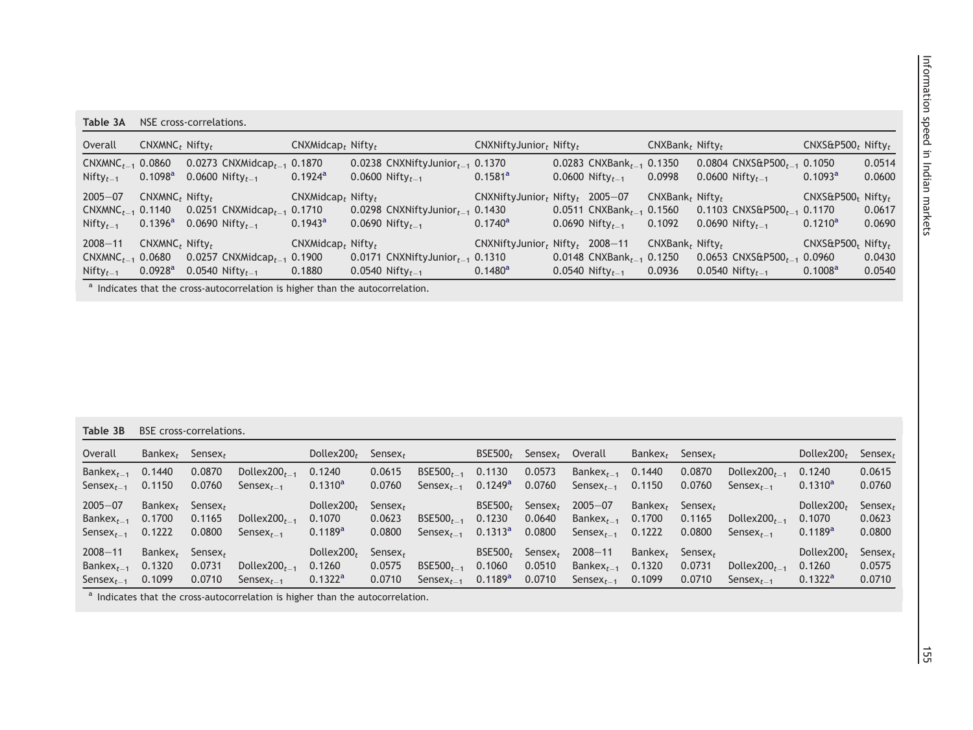| Table 3A       | NSE cross-correlations.                           |                                                                               |                     |                                                                        |                                  |                                |                                |                                             |                                              |        |
|----------------|---------------------------------------------------|-------------------------------------------------------------------------------|---------------------|------------------------------------------------------------------------|----------------------------------|--------------------------------|--------------------------------|---------------------------------------------|----------------------------------------------|--------|
| Overall        | $CNXMNCt$ Nifty <sub>t</sub>                      |                                                                               | $CNXMidcapt$ Nifty, |                                                                        | $CNXNiftyJuniort Niftyt$         |                                | $CNXBank_t$ Nifty,             |                                             | $CNX$ S&P500, Nifty,                         |        |
|                |                                                   | CNXMNC <sub>t-1</sub> 0.0860 0.0273 CNXMidcap <sub>t-1</sub> 0.1870           |                     | 0.0238 CNXNiftyJunior $_{t-1}$ 0.1370                                  |                                  | 0.0283 CNXBank $_{t-1}$ 0.1350 |                                | $0.0804$ CNXS&P500 $_{t-1}$ 0.1050          |                                              | 0.0514 |
| Nifty $_{t-1}$ | $0.1098^{\rm a}$                                  | 0.0600 Nifty <sub>t-1</sub> 0.1924 <sup>a</sup>                               |                     | 0.0600 Nifty $_{t-1}$                                                  | $0.1581^{\rm a}$                 | 0.0600 Nifty $_{t-1}$          | 0.0998                         | 0.0600 Nifty $_{t-1}$                       | $0.1093^{\rm a}$                             | 0.0600 |
| $2005 - 07$    |                                                   | $CNXMNCf$ Nifty,                                                              |                     | $CNXMidcapf$ Nifty <sub>t</sub>                                        | $CNXNiftyJuniorr Niftyr 2005–07$ |                                | $CNXBank_t$ Nifty,             |                                             | $CNX$ S&P500, Nifty,                         |        |
|                |                                                   | $CNXMNC_{t-1}$ 0.1140 0.0251 CNXMidcap <sub>t-1</sub> 0.1710                  |                     | 0.0298 CNXNiftyJunior $_{t-1}$ 0.1430                                  |                                  | 0.0511 CNXBank $_{t-1}$ 0.1560 |                                | $0.1103 \text{ CNXSEP}500_{t-1} 0.1170$     |                                              | 0.0617 |
| Nifty $_{t-1}$ |                                                   | $0.1396^a$ 0.0690 Nifty <sub>t-1</sub>                                        | $0.1943^a$          | 0.0690 Nifty $_{t-1}$                                                  | $0.1740^{\rm a}$                 | 0.0690 Nifty $_{t-1}$          | 0.1092                         | $0.0690$ Nifty $_{t=1}$                     | $0.1210^a$                                   | 0.0690 |
| $2008 - 11$    |                                                   |                                                                               |                     | $CNXMNCf$ Nifty <sub>f</sub> CNXMidcap <sub>t</sub> Nifty <sub>f</sub> | $CNXNiftyJuniort Niftvt 2008-11$ |                                | $CNXBank_t$ Nifty <sub>t</sub> |                                             | $CNX$ S&P500 <sub>t</sub> Nifty <sub>t</sub> |        |
|                | $CNXMNC_{t-1}$ 0.0680                             | 0.0257 $CNMidcap_{t-1}$ 0.1900                                                |                     | 0.0171 CNXNiftyJunior $_{t-1}$ 0.1310                                  |                                  | 0.0148 CNXBank $_{t-1}$ 0.1250 |                                | $0.0653 \text{ CNX}$ S&P500 $_{t-1}$ 0.0960 |                                              | 0.0430 |
| $Nifty_{t-1}$  | $0.0928$ <sup>a</sup> 0.0540 Nifty <sub>t-1</sub> |                                                                               | 0.1880              | 0.0540 Nifty $_{t-1}$                                                  | $0.1480^{\rm a}$                 | 0.0540 Nifty $_{t-1}$          | 0.0936                         | 0.0540 Nifty $_{t-1}$                       | $0.1008^{\rm a}$                             | 0.0540 |
|                |                                                   | a Indicator that the cross-autocorrelation is higher than the autocorrelation |                     |                                                                        |                                  |                                |                                |                                             |                                              |        |

Indicates that the cross-autocorrelation is higher than the autocorrelation.

| Table 3B                                          | BSE cross-correlations.                 |                                |                                        |                                             |                                     |                                    |                                                   |                                       |                                                    |                                     |                                |                                        |                                                  |                                |
|---------------------------------------------------|-----------------------------------------|--------------------------------|----------------------------------------|---------------------------------------------|-------------------------------------|------------------------------------|---------------------------------------------------|---------------------------------------|----------------------------------------------------|-------------------------------------|--------------------------------|----------------------------------------|--------------------------------------------------|--------------------------------|
| Overall                                           | Bankex <sub>t</sub> Sensex <sub>t</sub> |                                |                                        | Dollex200 $_t$                              | Sensex $_{t}$                       |                                    |                                                   | $BSE500t$ Sensex <sub>t</sub> Overall |                                                    | Bankex, Sensex,                     |                                |                                        | Dollex200 $r$                                    | Sensex $_t$                    |
| Bankex $_{t-1}$<br>Sense $x_{t-1}$                | 0.1440<br>0.1150                        | 0.0870<br>0.0760               | Dollex200 $_{t-1}$<br>Sensex $t_{t-1}$ | 0.1240<br>$0.1310^a$                        | 0.0615<br>0.0760                    | BSE500 $_{t-1}$<br>Sense $x_{t-1}$ | 0.1130<br>$0.1249^{\rm a}$                        | 0.0573<br>0.0760                      | Bankex $_{t-1}$<br>Sensex $t_{-1}$                 | 0.1440<br>0.1150                    | 0.0870<br>0.0760               | Dollex200 $_{t-1}$<br>Sensex $_{t-1}$  | 0.1240<br>$0.1310^4$                             | 0.0615<br>0.0760               |
| $2005 - 07$<br>Bankex $_{t-1}$<br>Sensex $_{t-1}$ | Bankex, Sensex,<br>0.1700<br>0.1222     | 0.1165<br>0.0800               | Dollex200 $_{t-1}$<br>Sense $x_{t-1}$  | Dollex200 $r$<br>0.1070<br>$0.1189^{\rm a}$ | Sensex,<br>0.0623<br>0.0800         | $BSE500_{t-1}$<br>Sense $x_{t-1}$  | BSE500,<br>0.1230<br>$0.1313^a$                   | Sensex $_{t}$<br>0.0640<br>0.0800     | $2005 - 07$<br>Bankex $_{t-1}$<br>Sensex $_{t-1}$  | Bankex, Sensex,<br>0.1700<br>0.1222 | 0.1165<br>0.0800               | Dollex200 $_{t=1}$<br>Sensex $t_{t-1}$ | Dollex200 $r$<br>0.1070<br>0.1189a               | Sensex $t$<br>0.0623<br>0.0800 |
| $2008 - 11$<br>Bankex $_{t-1}$<br>Sensex $_{t-1}$ | Bankex $_t$<br>0.1320<br>0.1099         | Sensex $t$<br>0.0731<br>0.0710 | Dollex200 $_{t-1}$<br>Sense $x_{t-1}$  | Dollex200 $r$<br>0.1260<br>$0.1322^{\rm a}$ | Sensex $\kappa$<br>0.0575<br>0.0710 | $BSE500_{t-1}$<br>Sense $x_{t-1}$  | BSE500 <sub>r</sub><br>0.1060<br>$0.1189^{\rm a}$ | Sensex $t$<br>0.0510<br>0.0710        | $2008 - 11$<br>Bankex $_{t-1}$<br>Sensex $t_{t-1}$ | Bankex $_t$<br>0.1320<br>0.1099     | Sensex $t$<br>0.0731<br>0.0710 | Dollex200 $_{t-1}$<br>Sensex $t_{t-1}$ | Dollex200 $t$<br>0.1260<br>$0.1322$ <sup>a</sup> | Sensex $t$<br>0.0575<br>0.0710 |

<sup>a</sup> Indicates that the cross-autocorrelation is higher than the autocorrelation.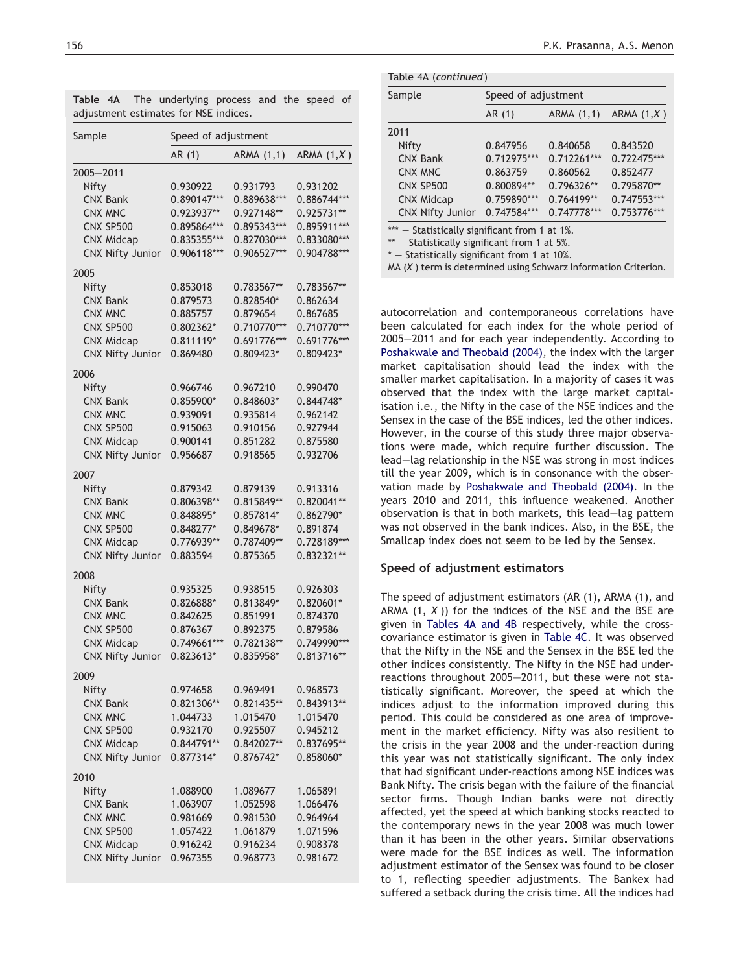| adjustment estimates for NSE indices.                                                                       |                                                                             |                                                                                |                                                                               |  |  |  |  |  |
|-------------------------------------------------------------------------------------------------------------|-----------------------------------------------------------------------------|--------------------------------------------------------------------------------|-------------------------------------------------------------------------------|--|--|--|--|--|
| Sample                                                                                                      | Speed of adjustment                                                         |                                                                                |                                                                               |  |  |  |  |  |
|                                                                                                             | AR (1)                                                                      | ARMA (1,1)                                                                     | ARMA $(1,X)$                                                                  |  |  |  |  |  |
| 2005-2011<br>Nifty<br><b>CNX Bank</b><br><b>CNX MNC</b><br>CNX SP500<br><b>CNX Midcap</b>                   | 0.930922<br>0.890147***<br>0.923937**<br>0.895864***<br>0.835355***         | 0.931793<br>0.889638***<br>0.927148**<br>0.895343***<br>0.827030***            | 0.931202<br>0.886744***<br>0.925731**<br>0.895911***<br>0.833080***           |  |  |  |  |  |
| CNX Nifty Junior                                                                                            | 0.906118***                                                                 | 0.906527***                                                                    | 0.904788***                                                                   |  |  |  |  |  |
| 2005<br>Nifty<br><b>CNX Bank</b><br>CNX MNC<br>CNX SP500<br><b>CNX Midcap</b><br><b>CNX Nifty Junior</b>    | 0.853018<br>0.879573<br>0.885757<br>0.802362*<br>0.811119*<br>0.869480      | 0.783567**<br>0.828540*<br>0.879654<br>0.710770***<br>0.691776***<br>0.809423* | 0.783567**<br>0.862634<br>0.867685<br>0.710770***<br>0.691776***<br>0.809423* |  |  |  |  |  |
| 2006<br>Nifty<br><b>CNX Bank</b><br>CNX MNC<br>CNX SP500<br><b>CNX Midcap</b><br><b>CNX Nifty Junior</b>    | 0.966746<br>0.855900*<br>0.939091<br>0.915063<br>0.900141<br>0.956687       | 0.967210<br>0.848603*<br>0.935814<br>0.910156<br>0.851282<br>0.918565          | 0.990470<br>0.844748*<br>0.962142<br>0.927944<br>0.875580<br>0.932706         |  |  |  |  |  |
| 2007<br>Nifty<br><b>CNX Bank</b><br><b>CNX MNC</b><br>CNX SP500<br><b>CNX Midcap</b><br>CNX Nifty Junior    | 0.879342<br>0.806398**<br>0.848895*<br>0.848277*<br>0.776939**<br>0.883594  | 0.879139<br>0.815849**<br>0.857814*<br>0.849678*<br>0.787409**<br>0.875365     | 0.913316<br>0.820041**<br>0.862790*<br>0.891874<br>0.728189***<br>0.832321**  |  |  |  |  |  |
| 2008<br>Nifty<br><b>CNX Bank</b><br>CNX MNC<br>CNX SP500<br><b>CNX Midcap</b><br>CNX Nifty Junior 0.823613* | 0.935325<br>0.826888*<br>0.842625<br>0.876367<br>0.749661***                | 0.938515<br>0.813849*<br>0.851991<br>0.892375<br>0.782138**<br>0.835958*       | 0.926303<br>0.820601*<br>0.874370<br>0.879586<br>0.749990***<br>0.813716**    |  |  |  |  |  |
| 2009<br>Nifty<br><b>CNX Bank</b><br>CNX MNC<br>CNX SP500<br><b>CNX Midcap</b><br>CNX Nifty Junior           | 0.974658<br>0.821306**<br>1.044733<br>0.932170<br>$0.844791**$<br>0.877314* | 0.969491<br>$0.821435**$<br>1.015470<br>0.925507<br>0.842027**<br>$0.876742*$  | 0.968573<br>0.843913**<br>1.015470<br>0.945212<br>0.837695**<br>0.858060*     |  |  |  |  |  |
| 2010<br>Nifty<br><b>CNX Bank</b><br>CNX MNC<br>CNX SP500<br><b>CNX Midcap</b><br>CNX Nifty Junior           | 1.088900<br>1.063907<br>0.981669<br>1.057422<br>0.916242<br>0.967355        | 1.089677<br>1.052598<br>0.981530<br>1.061879<br>0.916234<br>0.968773           | 1.065891<br>1.066476<br>0.964964<br>1.071596<br>0.908378<br>0.981672          |  |  |  |  |  |

Table 4A The underlying process and the speed of

| 156<br>P.K. Prasanna, A.S. Menon |  |  |  |
|----------------------------------|--|--|--|
|----------------------------------|--|--|--|

|  | Table 4A (continued) |  |
|--|----------------------|--|
|  |                      |  |

| Sample                  | Speed of adjustment |               |               |  |  |  |
|-------------------------|---------------------|---------------|---------------|--|--|--|
|                         | AR(1)               | ARMA (1,1)    | ARMA $(1,X)$  |  |  |  |
| 2011                    |                     |               |               |  |  |  |
| Nifty                   | 0.847956            | 0.840658      | 0.843520      |  |  |  |
| <b>CNX Bank</b>         | 0.712975***         | $0.712261***$ | $0.722475***$ |  |  |  |
| CNX MNC                 | 0.863759            | 0.860562      | 0.852477      |  |  |  |
| CNX SP500               | 0.800894**          | 0.796326**    | 0.795870**    |  |  |  |
| <b>CNX Midcap</b>       | 0.759890***         | 0.764199**    | $0.747553***$ |  |  |  |
| <b>CNX Nifty Junior</b> | 0.747584***         | 0.747778***   | 0.753776***   |  |  |  |

- Statistically significant from 1 at 5%.  $*$  – Statistically significant from 1 at 10%.

MA (*X* ) term is determined using Schwarz Information Criterion.

autocorrelation and contemporaneous correlations have been calculated for each index for the whole period of 2005-2011 and for each year independently. According to Poshakwale and Theobald (2004), the index with the larger market capitalisation should lead the index with the smaller market capitalisation. In a majority of cases it was observed that the index with the large market capitalisation i.e., the Nifty in the case of the NSE indices and the Sensex in the case of the BSE indices, led the other indices. However, in the course of this study three major observations were made, which require further discussion. The lead-lag relationship in the NSE was strong in most indices till the year 2009, which is in consonance with the observation made by Poshakwale and Theobald (2004). In the years 2010 and 2011, this influence weakened. Another observation is that in both markets, this lead-lag pattern was not observed in the bank indices. Also, in the BSE, the Smallcap index does not seem to be led by the Sensex.

## Speed of adjustment estimators

The speed of adjustment estimators (AR (1), ARMA (1), and ARMA (1, *X* )) for the indices of the NSE and the BSE are given in Tables 4A and 4B respectively, while the crosscovariance estimator is given in Table 4C. It was observed that the Nifty in the NSE and the Sensex in the BSE led the other indices consistently. The Nifty in the NSE had underreactions throughout 2005-2011, but these were not statistically significant. Moreover, the speed at which the indices adjust to the information improved during this period. This could be considered as one area of improvement in the market efficiency. Nifty was also resilient to the crisis in the year 2008 and the under-reaction during this year was not statistically significant. The only index that had significant under-reactions among NSE indices was Bank Nifty. The crisis began with the failure of the financial sector firms. Though Indian banks were not directly affected, yet the speed at which banking stocks reacted to the contemporary news in the year 2008 was much lower than it has been in the other years. Similar observations were made for the BSE indices as well. The information adjustment estimator of the Sensex was found to be closer to 1, reflecting speedier adjustments. The Bankex had suffered a setback during the crisis time. All the indices had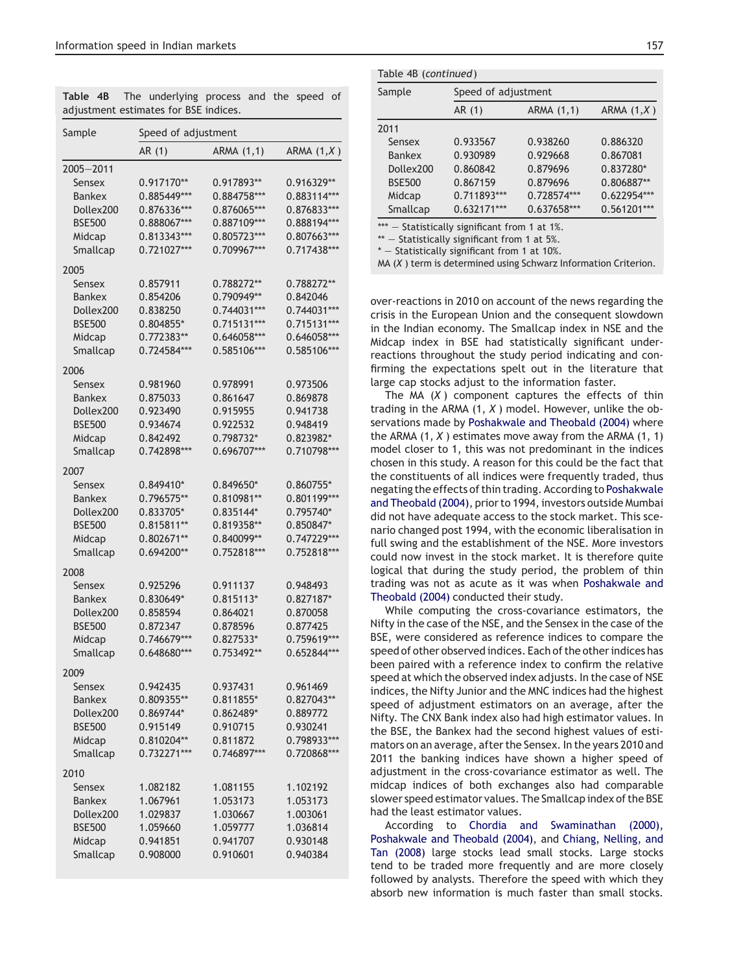| Sample        | Speed of adjustment |             |              |
|---------------|---------------------|-------------|--------------|
|               | AR (1)              | ARMA (1,1)  | ARMA $(1,X)$ |
| $2005 - 2011$ |                     |             |              |
| Sensex        | 0.917170**          | 0.917893**  | 0.916329**   |
| <b>Bankex</b> | 0.885449***         | 0.884758*** | 0.883114***  |
| Dollex200     | 0.876336***         | 0.876065*** | 0.876833***  |
| <b>BSE500</b> | 0.888067***         | 0.887109*** | 0.888194***  |
| Midcap        | 0.813343***         | 0.805723*** | 0.807663***  |
|               | 0.721027***         | 0.709967*** | 0.717438***  |
| Smallcap      |                     |             |              |
| 2005          |                     |             |              |
| Sensex        | 0.857911            | 0.788272**  | 0.788272**   |
| Bankex        | 0.854206            | 0.790949**  | 0.842046     |
| Dollex200     | 0.838250            | 0.744031*** | 0.744031***  |
| <b>BSE500</b> | 0.804855*           | 0.715131*** | 0.715131***  |
| Midcap        | 0.772383**          | 0.646058*** | 0.646058***  |
| Smallcap      | 0.724584***         | 0.585106*** | 0.585106***  |
| 2006          |                     |             |              |
| Sensex        | 0.981960            | 0.978991    | 0.973506     |
|               | 0.875033            | 0.861647    | 0.869878     |
| Bankex        |                     |             |              |
| Dollex200     | 0.923490            | 0.915955    | 0.941738     |
| <b>BSE500</b> | 0.934674            | 0.922532    | 0.948419     |
| Midcap        | 0.842492            | 0.798732*   | 0.823982*    |
| Smallcap      | 0.742898***         | 0.696707*** | 0.710798***  |
| 2007          |                     |             |              |
| Sensex        | 0.849410*           | 0.849650*   | 0.860755*    |
| Bankex        | 0.796575**          | 0.810981**  | 0.801199***  |
| Dollex200     | 0.833705*           | 0.835144*   | 0.795740*    |
| <b>BSE500</b> | 0.815811**          | 0.819358**  | 0.850847*    |
| Midcap        | 0.802671**          | 0.840099**  | 0.747229***  |
| Smallcap      | 0.694200**          | 0.752818*** | 0.752818***  |
|               |                     |             |              |
| 2008          |                     |             |              |
| Sensex        | 0.925296            | 0.911137    | 0.948493     |
| Bankex        | 0.830649*           | $0.815113*$ | 0.827187*    |
| Dollex200     | 0.858594            | 0.864021    | 0.870058     |
| <b>BSE500</b> | 0.872347            | 0.878596    | 0.877425     |
| Midcap        | 0.746679***         | 0.827533*   | 0.759619***  |
| Smallcap      | 0.648680***         | 0.753492**  | 0.652844***  |
| 2009          |                     |             |              |
| Sensex        | 0.942435            | 0.937431    | 0.961469     |
| <b>Bankex</b> | 0.809355**          | 0.811855*   | 0.827043**   |
|               |                     |             |              |
| Dollex200     | 0.869744*           | 0.862489*   | 0.889772     |
| <b>BSE500</b> | 0.915149            | 0.910715    | 0.930241     |
| Midcap        | 0.810204**          | 0.811872    | 0.798933***  |
| Smallcap      | $0.732271***$       | 0.746897*** | 0.720868***  |
| 2010          |                     |             |              |
| Sensex        | 1.082182            | 1.081155    | 1.102192     |
| <b>Bankex</b> | 1.067961            | 1.053173    | 1.053173     |
| Dollex200     | 1.029837            | 1.030667    | 1.003061     |
| <b>BSE500</b> | 1.059660            | 1.059777    | 1.036814     |
| Midcap        | 0.941851            | 0.941707    | 0.930148     |
| Smallcap      | 0.908000            | 0.910601    | 0.940384     |
|               |                     |             |              |

Table 4B The underlying process and the speed of adjustment estimates for BSE indices.

| Sample                                                                                                                                        |               | Speed of adjustment |               |  |  |  |  |  |
|-----------------------------------------------------------------------------------------------------------------------------------------------|---------------|---------------------|---------------|--|--|--|--|--|
|                                                                                                                                               | AR(1)         | ARMA (1,1)          | ARMA $(1,X)$  |  |  |  |  |  |
| 2011                                                                                                                                          |               |                     |               |  |  |  |  |  |
| Sensex                                                                                                                                        | 0.933567      | 0.938260            | 0.886320      |  |  |  |  |  |
| <b>Bankex</b>                                                                                                                                 | 0.930989      | 0.929668            | 0.867081      |  |  |  |  |  |
| Dollex200                                                                                                                                     | 0.860842      | 0.879696            | 0.837280*     |  |  |  |  |  |
| <b>BSE500</b>                                                                                                                                 | 0.867159      | 0.879696            | 0.806887**    |  |  |  |  |  |
| Midcap                                                                                                                                        | 0.711893***   | 0.728574***         | 0.622954***   |  |  |  |  |  |
| Smallcap                                                                                                                                      | $0.632171***$ | 0.637658***         | $0.561201***$ |  |  |  |  |  |
| *** - Statistically significant from 1 at 1%.<br>** - Statistically significant from 1 at 5%.<br>* - Statistically significant from 1 at 10%. |               |                     |               |  |  |  |  |  |

MA (*X* ) term is determined using Schwarz Information Criterion.

over-reactions in 2010 on account of the news regarding the crisis in the European Union and the consequent slowdown in the Indian economy. The Smallcap index in NSE and the Midcap index in BSE had statistically significant underreactions throughout the study period indicating and confirming the expectations spelt out in the literature that large cap stocks adjust to the information faster.

The MA (*X* ) component captures the effects of thin trading in the ARMA (1, *X* ) model. However, unlike the observations made by Poshakwale and Theobald (2004) where the ARMA (1, *X* ) estimates move away from the ARMA (1, 1) model closer to 1, this was not predominant in the indices chosen in this study. A reason for this could be the fact that the constituents of all indices were frequently traded, thus negating the effects of thin trading. According to Poshakwale and Theobald (2004), prior to 1994, investors outside Mumbai did not have adequate access to the stock market. This scenario changed post 1994, with the economic liberalisation in full swing and the establishment of the NSE. More investors could now invest in the stock market. It is therefore quite logical that during the study period, the problem of thin trading was not as acute as it was when Poshakwale and Theobald (2004) conducted their study.

While computing the cross-covariance estimators, the Nifty in the case of the NSE, and the Sensex in the case of the BSE, were considered as reference indices to compare the speed of other observed indices. Each of the other indices has been paired with a reference index to confirm the relative speed at which the observed index adjusts. In the case of NSE indices, the Nifty Junior and the MNC indices had the highest speed of adjustment estimators on an average, after the Nifty. The CNX Bank index also had high estimator values. In the BSE, the Bankex had the second highest values of estimators on an average, after the Sensex. In the years 2010 and 2011 the banking indices have shown a higher speed of adjustment in the cross-covariance estimator as well. The midcap indices of both exchanges also had comparable slower speed estimator values. The Smallcap index of the BSE had the least estimator values.

According to Chordia and Swaminathan (2000), Poshakwale and Theobald (2004), and Chiang, Nelling, and Tan (2008) large stocks lead small stocks. Large stocks tend to be traded more frequently and are more closely followed by analysts. Therefore the speed with which they absorb new information is much faster than small stocks.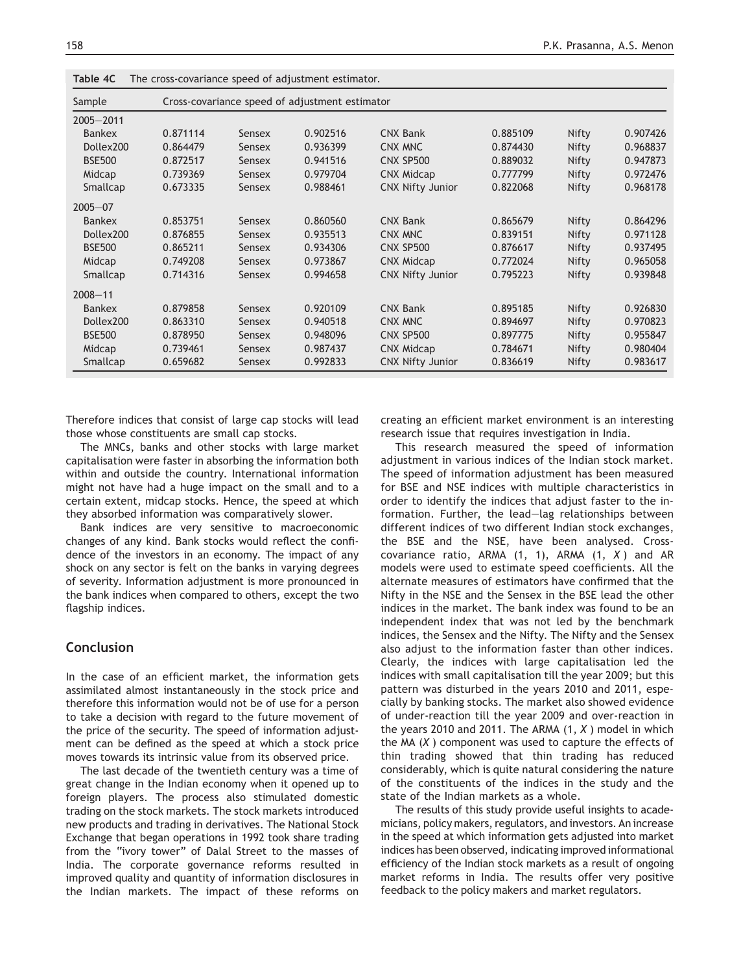| Table 4C<br>The cross-covariance speed of adjustment estimator.<br>Cross-covariance speed of adjustment estimator<br>Sample |          |        |          |                         |          |       |          |
|-----------------------------------------------------------------------------------------------------------------------------|----------|--------|----------|-------------------------|----------|-------|----------|
|                                                                                                                             |          |        |          |                         |          |       |          |
| <b>Bankex</b>                                                                                                               | 0.871114 | Sensex | 0.902516 | <b>CNX Bank</b>         | 0.885109 | Nifty | 0.907426 |
| Dollex200                                                                                                                   | 0.864479 | Sensex | 0.936399 | CNX MNC                 | 0.874430 | Nifty | 0.968837 |
| <b>BSE500</b>                                                                                                               | 0.872517 | Sensex | 0.941516 | CNX SP500               | 0.889032 | Nifty | 0.947873 |
| Midcap                                                                                                                      | 0.739369 | Sensex | 0.979704 | <b>CNX Midcap</b>       | 0.777799 | Nifty | 0.972476 |
| Smallcap                                                                                                                    | 0.673335 | Sensex | 0.988461 | <b>CNX Nifty Junior</b> | 0.822068 | Nifty | 0.968178 |
| $2005 - 07$                                                                                                                 |          |        |          |                         |          |       |          |
| <b>Bankex</b>                                                                                                               | 0.853751 | Sensex | 0.860560 | <b>CNX Bank</b>         | 0.865679 | Nifty | 0.864296 |
| Dollex200                                                                                                                   | 0.876855 | Sensex | 0.935513 | CNX MNC                 | 0.839151 | Nifty | 0.971128 |
| <b>BSE500</b>                                                                                                               | 0.865211 | Sensex | 0.934306 | CNX SP500               | 0.876617 | Nifty | 0.937495 |
| Midcap                                                                                                                      | 0.749208 | Sensex | 0.973867 | <b>CNX Midcap</b>       | 0.772024 | Nifty | 0.965058 |
| Smallcap                                                                                                                    | 0.714316 | Sensex | 0.994658 | <b>CNX Nifty Junior</b> | 0.795223 | Nifty | 0.939848 |
| $2008 - 11$                                                                                                                 |          |        |          |                         |          |       |          |
| <b>Bankex</b>                                                                                                               | 0.879858 | Sensex | 0.920109 | <b>CNX Bank</b>         | 0.895185 | Nifty | 0.926830 |
| Dollex200                                                                                                                   | 0.863310 | Sensex | 0.940518 | CNX MNC                 | 0.894697 | Nifty | 0.970823 |
| <b>BSE500</b>                                                                                                               | 0.878950 | Sensex | 0.948096 | CNX SP500               | 0.897775 | Nifty | 0.955847 |
| Midcap                                                                                                                      | 0.739461 | Sensex | 0.987437 | <b>CNX Midcap</b>       | 0.784671 | Nifty | 0.980404 |
| Smallcap                                                                                                                    | 0.659682 | Sensex | 0.992833 | <b>CNX Nifty Junior</b> | 0.836619 | Nifty | 0.983617 |

Therefore indices that consist of large cap stocks will lead those whose constituents are small cap stocks.

The MNCs, banks and other stocks with large market capitalisation were faster in absorbing the information both within and outside the country. International information might not have had a huge impact on the small and to a certain extent, midcap stocks. Hence, the speed at which they absorbed information was comparatively slower.

Bank indices are very sensitive to macroeconomic changes of any kind. Bank stocks would reflect the confidence of the investors in an economy. The impact of any shock on any sector is felt on the banks in varying degrees of severity. Information adjustment is more pronounced in the bank indices when compared to others, except the two flagship indices.

## Conclusion

In the case of an efficient market, the information gets assimilated almost instantaneously in the stock price and therefore this information would not be of use for a person to take a decision with regard to the future movement of the price of the security. The speed of information adjustment can be defined as the speed at which a stock price moves towards its intrinsic value from its observed price.

The last decade of the twentieth century was a time of great change in the Indian economy when it opened up to foreign players. The process also stimulated domestic trading on the stock markets. The stock markets introduced new products and trading in derivatives. The National Stock Exchange that began operations in 1992 took share trading from the "ivory tower" of Dalal Street to the masses of India. The corporate governance reforms resulted in improved quality and quantity of information disclosures in the Indian markets. The impact of these reforms on creating an efficient market environment is an interesting research issue that requires investigation in India.

This research measured the speed of information adjustment in various indices of the Indian stock market. The speed of information adjustment has been measured for BSE and NSE indices with multiple characteristics in order to identify the indices that adjust faster to the information. Further, the lead-lag relationships between different indices of two different Indian stock exchanges, the BSE and the NSE, have been analysed. Crosscovariance ratio, ARMA (1, 1), ARMA (1, *X* ) and AR models were used to estimate speed coefficients. All the alternate measures of estimators have confirmed that the Nifty in the NSE and the Sensex in the BSE lead the other indices in the market. The bank index was found to be an independent index that was not led by the benchmark indices, the Sensex and the Nifty. The Nifty and the Sensex also adjust to the information faster than other indices. Clearly, the indices with large capitalisation led the indices with small capitalisation till the year 2009; but this pattern was disturbed in the years 2010 and 2011, especially by banking stocks. The market also showed evidence of under-reaction till the year 2009 and over-reaction in the years 2010 and 2011. The ARMA (1, *X* ) model in which the MA (*X* ) component was used to capture the effects of thin trading showed that thin trading has reduced considerably, which is quite natural considering the nature of the constituents of the indices in the study and the state of the Indian markets as a whole.

The results of this study provide useful insights to academicians, policy makers, regulators, and investors. An increase in the speed at which information gets adjusted into market indices has been observed, indicating improved informational efficiency of the Indian stock markets as a result of ongoing market reforms in India. The results offer very positive feedback to the policy makers and market regulators.